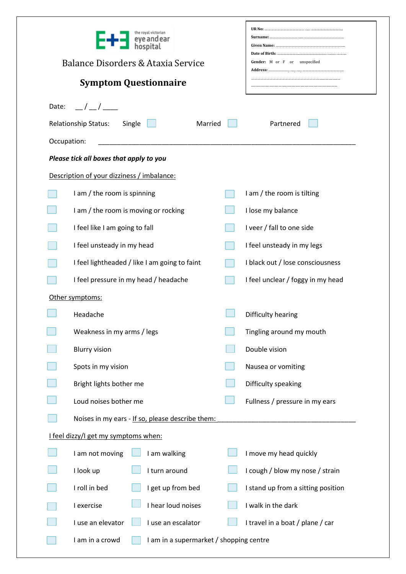|                                                               | ie royal victorian<br>Balance Disorders & Ataxia Service<br><b>Symptom Questionnaire</b> |  | Gender: M or F or unspecified      |  |  |  |  |  |
|---------------------------------------------------------------|------------------------------------------------------------------------------------------|--|------------------------------------|--|--|--|--|--|
| $\frac{1}{2}$<br>Date:                                        |                                                                                          |  |                                    |  |  |  |  |  |
| <b>Relationship Status:</b><br>Single<br>Married<br>Partnered |                                                                                          |  |                                    |  |  |  |  |  |
| Occupation:                                                   |                                                                                          |  |                                    |  |  |  |  |  |
| Please tick all boxes that apply to you                       |                                                                                          |  |                                    |  |  |  |  |  |
|                                                               | Description of your dizziness / imbalance:                                               |  |                                    |  |  |  |  |  |
|                                                               | I am / the room is spinning                                                              |  | I am / the room is tilting         |  |  |  |  |  |
|                                                               | I am / the room is moving or rocking                                                     |  | I lose my balance                  |  |  |  |  |  |
|                                                               | I feel like I am going to fall                                                           |  | I veer / fall to one side          |  |  |  |  |  |
|                                                               | I feel unsteady in my head                                                               |  | I feel unsteady in my legs         |  |  |  |  |  |
|                                                               | I feel lightheaded / like I am going to faint                                            |  | I black out / lose consciousness   |  |  |  |  |  |
|                                                               | I feel pressure in my head / headache                                                    |  | I feel unclear / foggy in my head  |  |  |  |  |  |
|                                                               | Other symptoms:                                                                          |  |                                    |  |  |  |  |  |
|                                                               | Headache                                                                                 |  | Difficulty hearing                 |  |  |  |  |  |
|                                                               | Weakness in my arms / legs                                                               |  | Tingling around my mouth           |  |  |  |  |  |
|                                                               | <b>Blurry vision</b>                                                                     |  | Double vision                      |  |  |  |  |  |
|                                                               | Spots in my vision                                                                       |  | Nausea or vomiting                 |  |  |  |  |  |
|                                                               | Bright lights bother me                                                                  |  | Difficulty speaking                |  |  |  |  |  |
|                                                               | Loud noises bother me                                                                    |  | Fullness / pressure in my ears     |  |  |  |  |  |
|                                                               | Noises in my ears - If so, please describe them:                                         |  |                                    |  |  |  |  |  |
|                                                               | I feel dizzy/I get my symptoms when:                                                     |  |                                    |  |  |  |  |  |
|                                                               | I am not moving<br>I am walking                                                          |  | I move my head quickly             |  |  |  |  |  |
|                                                               | I look up<br>I turn around                                                               |  | I cough / blow my nose / strain    |  |  |  |  |  |
|                                                               | I roll in bed<br>I get up from bed                                                       |  | I stand up from a sitting position |  |  |  |  |  |
|                                                               | I hear loud noises<br>I exercise                                                         |  | I walk in the dark                 |  |  |  |  |  |
|                                                               | I use an elevator<br>I use an escalator                                                  |  | I travel in a boat / plane / car   |  |  |  |  |  |
|                                                               | I am in a crowd<br>I am in a supermarket / shopping centre                               |  |                                    |  |  |  |  |  |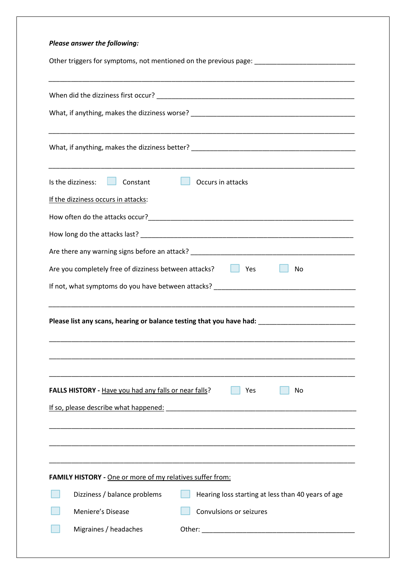| Please answer the following:                                                                                                                                        |
|---------------------------------------------------------------------------------------------------------------------------------------------------------------------|
| Other triggers for symptoms, not mentioned on the previous page: __________________________________                                                                 |
|                                                                                                                                                                     |
|                                                                                                                                                                     |
|                                                                                                                                                                     |
|                                                                                                                                                                     |
| <u> 1989 - Johann Stoff, amerikansk politiker (d. 1989)</u><br>Is the dizziness:<br>Constant<br>. .<br>Occurs in attacks                                            |
| If the dizziness occurs in attacks:                                                                                                                                 |
|                                                                                                                                                                     |
|                                                                                                                                                                     |
|                                                                                                                                                                     |
| Are you completely free of dizziness between attacks?<br>Yes<br>No.                                                                                                 |
|                                                                                                                                                                     |
| <u> 1989 - Johann Stoff, amerikansk politiker (d. 1989)</u><br>Please list any scans, hearing or balance testing that you have had: _______________________________ |
| FALLS HISTORY - Have you had any falls or near falls?<br>No<br>Yes<br>If so, please describe what happened:                                                         |
|                                                                                                                                                                     |
|                                                                                                                                                                     |
| <b>FAMILY HISTORY</b> - One or more of my relatives suffer from:                                                                                                    |
| Dizziness / balance problems<br>Hearing loss starting at less than 40 years of age                                                                                  |
| Meniere's Disease<br>Convulsions or seizures                                                                                                                        |
| Migraines / headaches                                                                                                                                               |